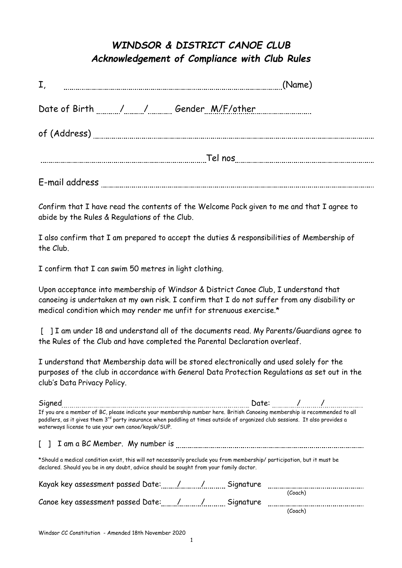## *WINDSOR & DISTRICT CANOE CLUB Acknowledgement of Compliance with Club Rules*

| I,                                 | (Name) |
|------------------------------------|--------|
| Date of Birth / / Gender M/F/other |        |
|                                    |        |
| Tel nos                            |        |
| $\sim$ $\sim$ $\sim$ $\sim$ $\sim$ |        |

E-mail address

Confirm that I have read the contents of the Welcome Pack given to me and that I agree to abide by the Rules & Regulations of the Club.

I also confirm that I am prepared to accept the duties & responsibilities of Membership of the Club.

I confirm that I can swim 50 metres in light clothing.

Upon acceptance into membership of Windsor & District Canoe Club, I understand that canoeing is undertaken at my own risk. I confirm that I do not suffer from any disability or medical condition which may render me unfit for strenuous exercise.\*

[ ] I am under 18 and understand all of the documents read. My Parents/Guardians agree to the Rules of the Club and have completed the Parental Declaration overleaf.

I understand that Membership data will be stored electronically and used solely for the purposes of the club in accordance with General Data Protection Regulations as set out in the club's Data Privacy Policy.

| Signed                                                                                                                                                                                                                                                                                                                      |  | Date: $/$ / |  |
|-----------------------------------------------------------------------------------------------------------------------------------------------------------------------------------------------------------------------------------------------------------------------------------------------------------------------------|--|-------------|--|
| If you are a member of BC, please indicate your membership number here. British Canoeing membership is recommended to all<br>paddlers, as it gives them 3 <sup>rd</sup> party insurance when paddling at times outside of organized club sessions. It also provides a<br>waterways license to use your own canoe/kayak/SUP. |  |             |  |
|                                                                                                                                                                                                                                                                                                                             |  |             |  |
| *Should a medical condition exist, this will not necessarily preclude you from membership/ participation, but it must be<br>declared. Should you be in any doubt, advice should be sought from your family doctor.                                                                                                          |  |             |  |
|                                                                                                                                                                                                                                                                                                                             |  |             |  |
|                                                                                                                                                                                                                                                                                                                             |  | (Coach)     |  |
|                                                                                                                                                                                                                                                                                                                             |  | (Coach)     |  |